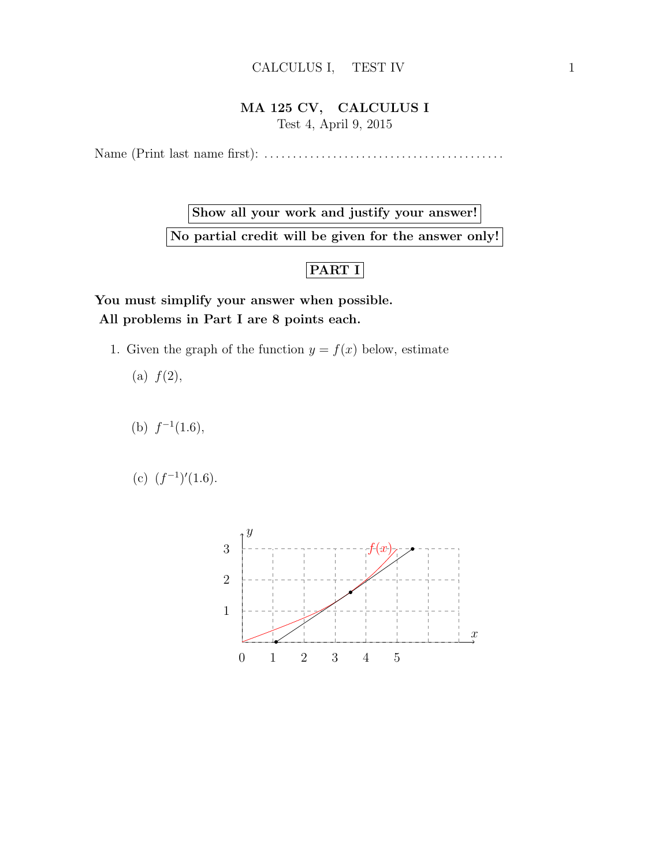## MA 125 CV, CALCULUS I Test 4, April 9, 2015

Name (Print last name first): . . . . . . . . . . . . . . . . . . . . . . . . . . . . . . . . . . . . . . . . . .

Show all your work and justify your answer! No partial credit will be given for the answer only!

## PART I

You must simplify your answer when possible. All problems in Part I are 8 points each.

1. Given the graph of the function  $y = f(x)$  below, estimate

(a)  $f(2)$ ,

- (b)  $f^{-1}(1.6)$ ,
- (c)  $(f^{-1})'(1.6)$ .

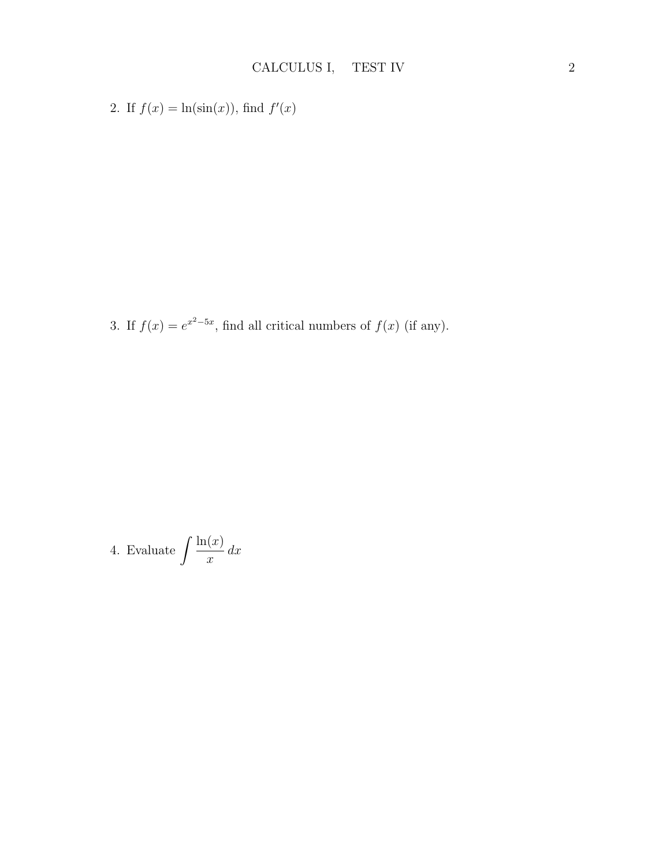2. If  $f(x) = \ln(\sin(x))$ , find  $f'(x)$ 

3. If  $f(x) = e^{x^2-5x}$ , find all critical numbers of  $f(x)$  (if any).

4. Evaluate 
$$
\int \frac{\ln(x)}{x} \, dx
$$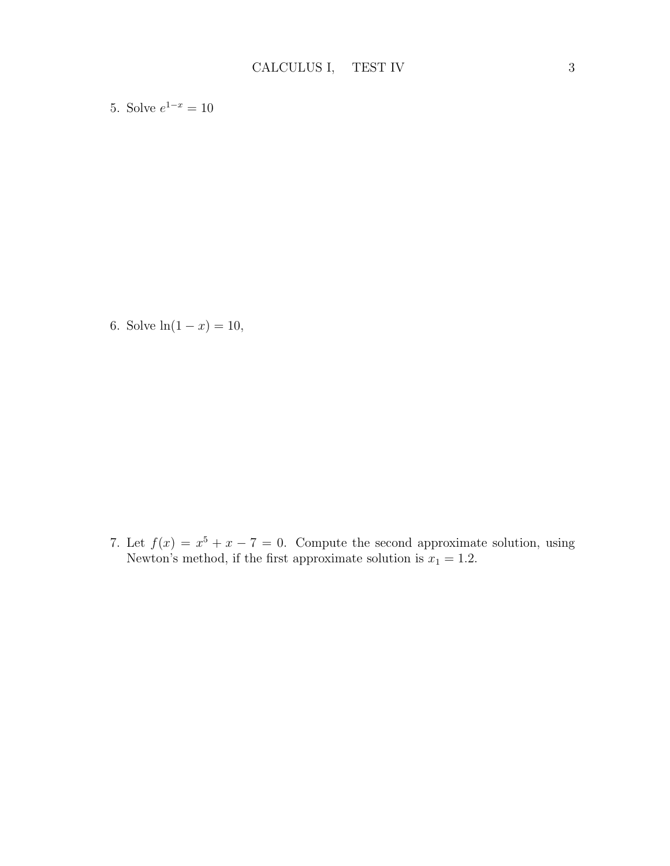5. Solve  $e^{1-x} = 10$ 

6. Solve  $ln(1 - x) = 10$ ,

7. Let  $f(x) = x^5 + x - 7 = 0$ . Compute the second approximate solution, using Newton's method, if the first approximate solution is  $x_1 = 1.2$ .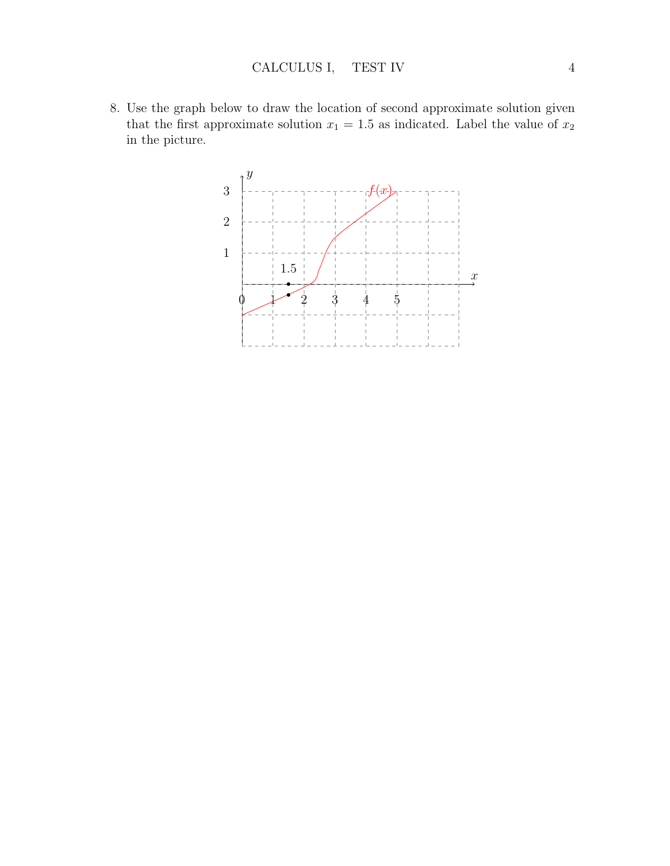8. Use the graph below to draw the location of second approximate solution given that the first approximate solution  $x_1 = 1.5$  as indicated. Label the value of  $x_2$ in the picture.

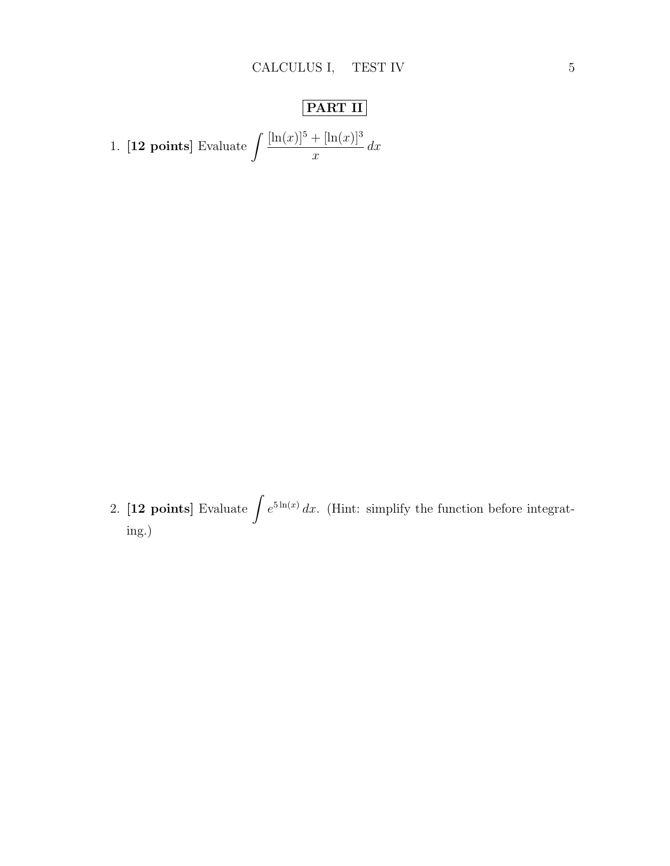## PART II

1. [12 points] Evaluate  $\int \frac{[\ln(x)]^5 + [\ln(x)]^3}{\ln(x)}$  $\overline{x}$  $dx$ 

2. [12 points] Evaluate  $\int e^{5 \ln(x)} dx$ . (Hint: simplify the function before integrating.)